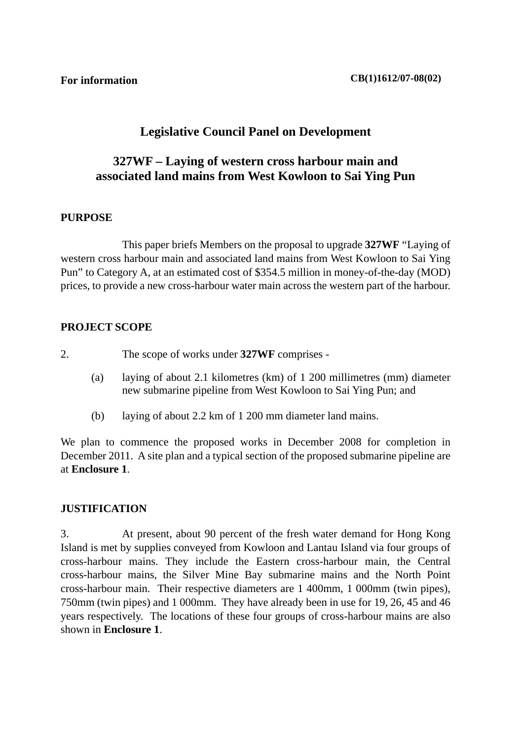# **Legislative Council Panel on Development**

# **327WF – Laying of western cross harbour main and associated land mains from West Kowloon to Sai Ying Pun**

### **PURPOSE**

 This paper briefs Members on the proposal to upgrade **327WF** "Laying of western cross harbour main and associated land mains from West Kowloon to Sai Ying Pun" to Category A, at an estimated cost of \$354.5 million in money-of-the-day (MOD) prices, to provide a new cross-harbour water main across the western part of the harbour.

### **PROJECT SCOPE**

- 2. The scope of works under **327WF** comprises
	- (a) laying of about 2.1 kilometres (km) of 1 200 millimetres (mm) diameter new submarine pipeline from West Kowloon to Sai Ying Pun; and
	- (b) laying of about 2.2 km of 1 200 mm diameter land mains.

We plan to commence the proposed works in December 2008 for completion in December 2011. A site plan and a typical section of the proposed submarine pipeline are at **Enclosure 1**.

#### **JUSTIFICATION**

3. At present, about 90 percent of the fresh water demand for Hong Kong Island is met by supplies conveyed from Kowloon and Lantau Island via four groups of cross-harbour mains. They include the Eastern cross-harbour main, the Central cross-harbour mains, the Silver Mine Bay submarine mains and the North Point cross-harbour main. Their respective diameters are 1 400mm, 1 000mm (twin pipes), 750mm (twin pipes) and 1 000mm. They have already been in use for 19, 26, 45 and 46 years respectively. The locations of these four groups of cross-harbour mains are also shown in **Enclosure 1**.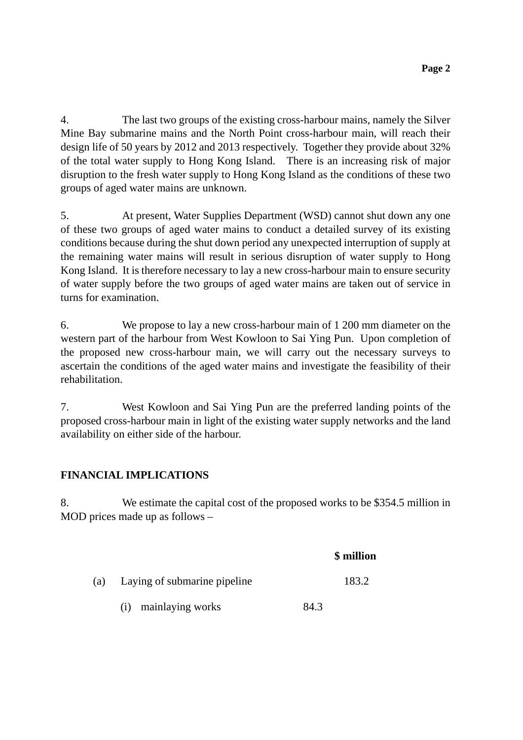4. The last two groups of the existing cross-harbour mains, namely the Silver Mine Bay submarine mains and the North Point cross-harbour main, will reach their design life of 50 years by 2012 and 2013 respectively. Together they provide about 32% of the total water supply to Hong Kong Island. There is an increasing risk of major disruption to the fresh water supply to Hong Kong Island as the conditions of these two groups of aged water mains are unknown.

5. At present, Water Supplies Department (WSD) cannot shut down any one of these two groups of aged water mains to conduct a detailed survey of its existing conditions because during the shut down period any unexpected interruption of supply at the remaining water mains will result in serious disruption of water supply to Hong Kong Island. It is therefore necessary to lay a new cross-harbour main to ensure security of water supply before the two groups of aged water mains are taken out of service in turns for examination.

6. We propose to lay a new cross-harbour main of 1 200 mm diameter on the western part of the harbour from West Kowloon to Sai Ying Pun. Upon completion of the proposed new cross-harbour main, we will carry out the necessary surveys to ascertain the conditions of the aged water mains and investigate the feasibility of their rehabilitation.

7. West Kowloon and Sai Ying Pun are the preferred landing points of the proposed cross-harbour main in light of the existing water supply networks and the land availability on either side of the harbour.

# **FINANCIAL IMPLICATIONS**

8. We estimate the capital cost of the proposed works to be \$354.5 million in MOD prices made up as follows –

|     |                              | \$ million |
|-----|------------------------------|------------|
| (a) | Laying of submarine pipeline | 183.2      |
|     | mainlaying works<br>(i)      | 84.3       |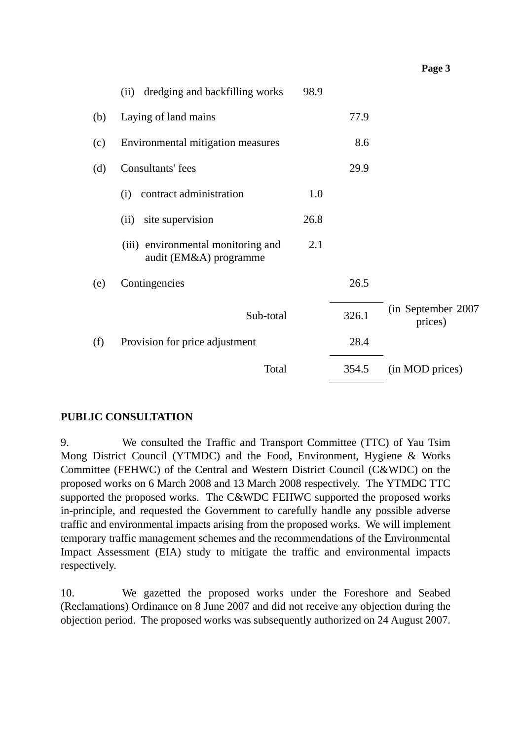|     | dredging and backfilling works<br>(ii)                       | 98.9 |       |                                |
|-----|--------------------------------------------------------------|------|-------|--------------------------------|
| (b) | Laying of land mains                                         |      | 77.9  |                                |
| (c) | Environmental mitigation measures                            |      | 8.6   |                                |
| (d) | Consultants' fees                                            |      | 29.9  |                                |
|     | contract administration<br>(i)                               | 1.0  |       |                                |
|     | site supervision<br>(ii)                                     | 26.8 |       |                                |
|     | (iii) environmental monitoring and<br>audit (EM&A) programme | 2.1  |       |                                |
| (e) | Contingencies                                                |      | 26.5  |                                |
|     | Sub-total                                                    |      | 326.1 | (in September 2007)<br>prices) |
| (f) | Provision for price adjustment                               |      | 28.4  |                                |
|     | Total                                                        |      | 354.5 | (in MOD prices)                |

**Page 3**

### **PUBLIC CONSULTATION**

9. We consulted the Traffic and Transport Committee (TTC) of Yau Tsim Mong District Council (YTMDC) and the Food, Environment, Hygiene & Works Committee (FEHWC) of the Central and Western District Council (C&WDC) on the proposed works on 6 March 2008 and 13 March 2008 respectively. The YTMDC TTC supported the proposed works. The C&WDC FEHWC supported the proposed works in-principle, and requested the Government to carefully handle any possible adverse traffic and environmental impacts arising from the proposed works. We will implement temporary traffic management schemes and the recommendations of the Environmental Impact Assessment (EIA) study to mitigate the traffic and environmental impacts respectively.

10. We gazetted the proposed works under the Foreshore and Seabed (Reclamations) Ordinance on 8 June 2007 and did not receive any objection during the objection period. The proposed works was subsequently authorized on 24 August 2007.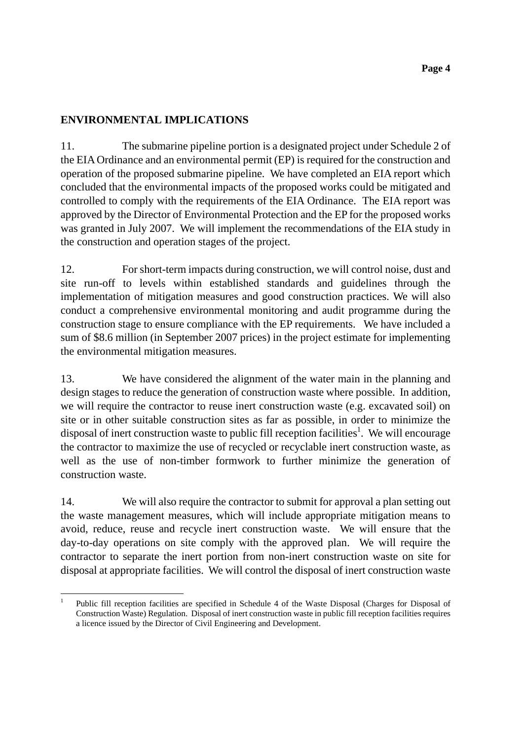## **ENVIRONMENTAL IMPLICATIONS**

11. The submarine pipeline portion is a designated project under Schedule 2 of the EIA Ordinance and an environmental permit (EP) is required for the construction and operation of the proposed submarine pipeline. We have completed an EIA report which concluded that the environmental impacts of the proposed works could be mitigated and controlled to comply with the requirements of the EIA Ordinance. The EIA report was approved by the Director of Environmental Protection and the EP for the proposed works was granted in July 2007. We will implement the recommendations of the EIA study in the construction and operation stages of the project.

12. For short-term impacts during construction, we will control noise, dust and site run-off to levels within established standards and guidelines through the implementation of mitigation measures and good construction practices. We will also conduct a comprehensive environmental monitoring and audit programme during the construction stage to ensure compliance with the EP requirements. We have included a sum of \$8.6 million (in September 2007 prices) in the project estimate for implementing the environmental mitigation measures.

13. We have considered the alignment of the water main in the planning and design stages to reduce the generation of construction waste where possible. In addition, we will require the contractor to reuse inert construction waste (e.g. excavated soil) on site or in other suitable construction sites as far as possible, in order to minimize the disposal of inert construction waste to public fill reception facilities<sup>1</sup>. We will encourage the contractor to maximize the use of recycled or recyclable inert construction waste, as well as the use of non-timber formwork to further minimize the generation of construction waste.

14. We will also require the contractor to submit for approval a plan setting out the waste management measures, which will include appropriate mitigation means to avoid, reduce, reuse and recycle inert construction waste. We will ensure that the day-to-day operations on site comply with the approved plan. We will require the contractor to separate the inert portion from non-inert construction waste on site for disposal at appropriate facilities. We will control the disposal of inert construction waste

 1 Public fill reception facilities are specified in Schedule 4 of the Waste Disposal (Charges for Disposal of Construction Waste) Regulation. Disposal of inert construction waste in public fill reception facilities requires a licence issued by the Director of Civil Engineering and Development.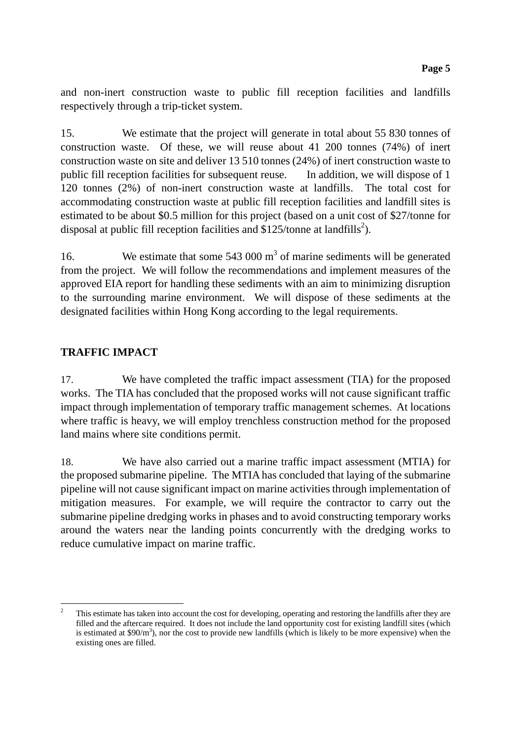and non-inert construction waste to public fill reception facilities and landfills respectively through a trip-ticket system.

15. We estimate that the project will generate in total about 55 830 tonnes of construction waste. Of these, we will reuse about 41 200 tonnes (74%) of inert construction waste on site and deliver 13 510 tonnes (24%) of inert construction waste to public fill reception facilities for subsequent reuse. In addition, we will dispose of 1 120 tonnes (2%) of non-inert construction waste at landfills. The total cost for accommodating construction waste at public fill reception facilities and landfill sites is estimated to be about \$0.5 million for this project (based on a unit cost of \$27/tonne for disposal at public fill reception facilities and \$125/tonne at landfills<sup>2</sup>).

16. We estimate that some  $543,000 \text{ m}^3$  of marine sediments will be generated from the project. We will follow the recommendations and implement measures of the approved EIA report for handling these sediments with an aim to minimizing disruption to the surrounding marine environment. We will dispose of these sediments at the designated facilities within Hong Kong according to the legal requirements.

# **TRAFFIC IMPACT**

17. We have completed the traffic impact assessment (TIA) for the proposed works. The TIA has concluded that the proposed works will not cause significant traffic impact through implementation of temporary traffic management schemes. At locations where traffic is heavy, we will employ trenchless construction method for the proposed land mains where site conditions permit.

18. We have also carried out a marine traffic impact assessment (MTIA) for the proposed submarine pipeline. The MTIA has concluded that laying of the submarine pipeline will not cause significant impact on marine activities through implementation of mitigation measures. For example, we will require the contractor to carry out the submarine pipeline dredging works in phases and to avoid constructing temporary works around the waters near the landing points concurrently with the dredging works to reduce cumulative impact on marine traffic.

 $\frac{1}{2}$  This estimate has taken into account the cost for developing, operating and restoring the landfills after they are filled and the aftercare required. It does not include the land opportunity cost for existing landfill sites (which is estimated at \$90/ $m<sup>3</sup>$ ), nor the cost to provide new landfills (which is likely to be more expensive) when the existing ones are filled.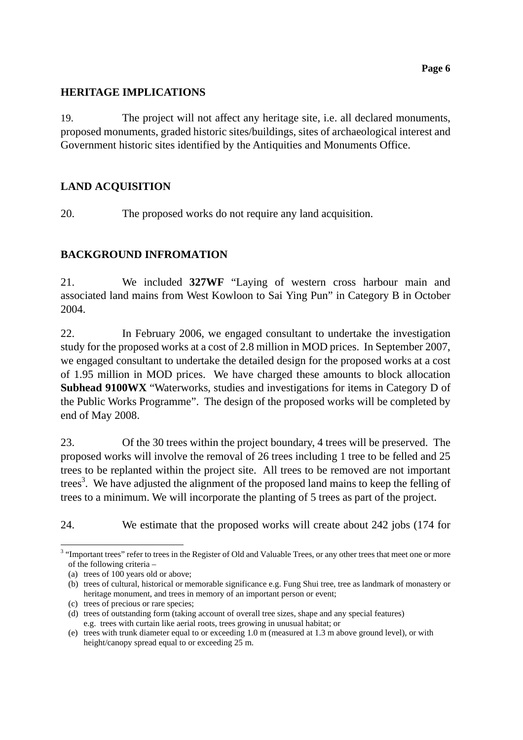## **HERITAGE IMPLICATIONS**

19. The project will not affect any heritage site, i.e. all declared monuments, proposed monuments, graded historic sites/buildings, sites of archaeological interest and Government historic sites identified by the Antiquities and Monuments Office.

# **LAND ACQUISITION**

20. The proposed works do not require any land acquisition.

## **BACKGROUND INFROMATION**

21. We included **327WF** "Laying of western cross harbour main and associated land mains from West Kowloon to Sai Ying Pun" in Category B in October 2004.

22. In February 2006, we engaged consultant to undertake the investigation study for the proposed works at a cost of 2.8 million in MOD prices. In September 2007, we engaged consultant to undertake the detailed design for the proposed works at a cost of 1.95 million in MOD prices. We have charged these amounts to block allocation **Subhead 9100WX** "Waterworks, studies and investigations for items in Category D of the Public Works Programme". The design of the proposed works will be completed by end of May 2008.

23. Of the 30 trees within the project boundary, 4 trees will be preserved. The proposed works will involve the removal of 26 trees including 1 tree to be felled and 25 trees to be replanted within the project site. All trees to be removed are not important trees<sup>3</sup>. We have adjusted the alignment of the proposed land mains to keep the felling of trees to a minimum. We will incorporate the planting of 5 trees as part of the project.

24. We estimate that the proposed works will create about 242 jobs (174 for

  $3$  "Important trees" refer to trees in the Register of Old and Valuable Trees, or any other trees that meet one or more of the following criteria –

<sup>(</sup>a) trees of 100 years old or above;

<sup>(</sup>b) trees of cultural, historical or memorable significance e.g. Fung Shui tree, tree as landmark of monastery or heritage monument, and trees in memory of an important person or event;

<sup>(</sup>c) trees of precious or rare species;

<sup>(</sup>d) trees of outstanding form (taking account of overall tree sizes, shape and any special features) e.g. trees with curtain like aerial roots, trees growing in unusual habitat; or

<sup>(</sup>e) trees with trunk diameter equal to or exceeding 1.0 m (measured at 1.3 m above ground level), or with height/canopy spread equal to or exceeding 25 m.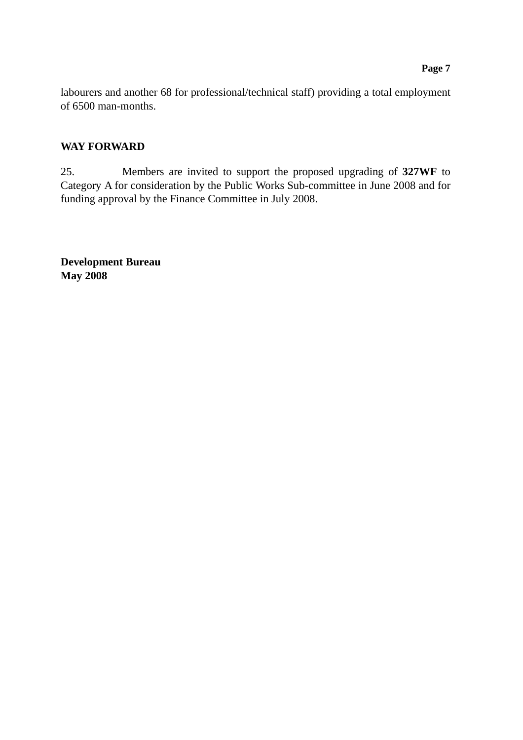labourers and another 68 for professional/technical staff) providing a total employment of 6500 man-months.

## **WAY FORWARD**

25. Members are invited to support the proposed upgrading of **327WF** to Category A for consideration by the Public Works Sub-committee in June 2008 and for funding approval by the Finance Committee in July 2008.

**Development Bureau May 2008**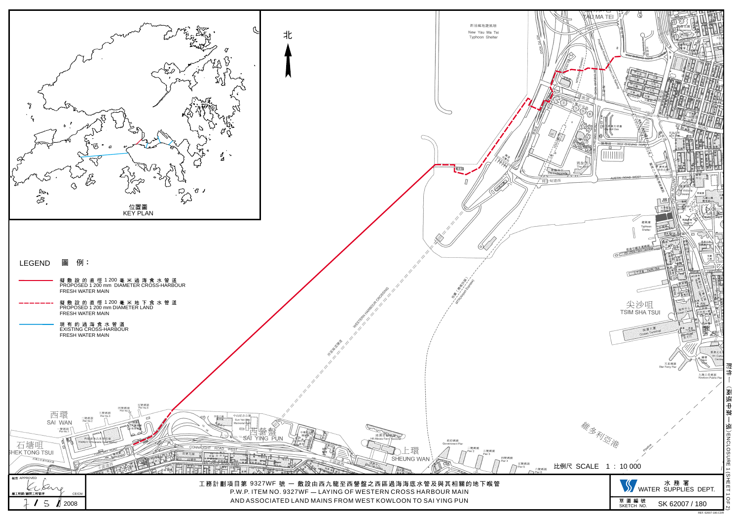

 $BEE$  6200